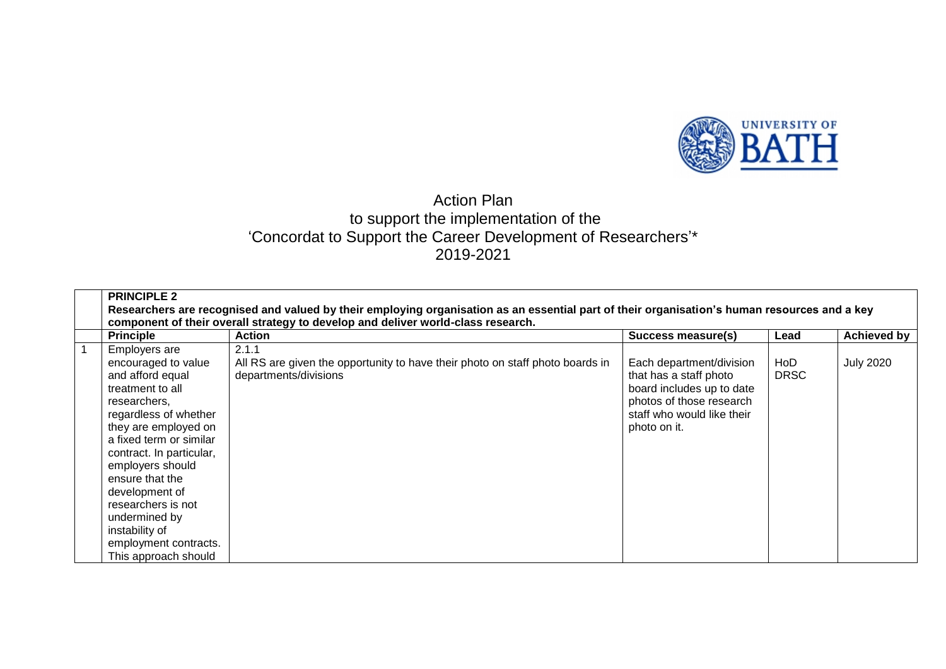

## Action Plan to support the implementation of the 'Concordat to Support the Career Development of Researchers'\* 2019-2021

| <b>PRINCIPLE 2</b>                                                                                                                                                                                                                                                                                                                                                      | Researchers are recognised and valued by their employing organisation as an essential part of their organisation's human resources and a key<br>component of their overall strategy to develop and deliver world-class research. |                                                                                                                                                           |                    |                    |
|-------------------------------------------------------------------------------------------------------------------------------------------------------------------------------------------------------------------------------------------------------------------------------------------------------------------------------------------------------------------------|----------------------------------------------------------------------------------------------------------------------------------------------------------------------------------------------------------------------------------|-----------------------------------------------------------------------------------------------------------------------------------------------------------|--------------------|--------------------|
| <b>Principle</b>                                                                                                                                                                                                                                                                                                                                                        | <b>Action</b>                                                                                                                                                                                                                    | Success measure(s)                                                                                                                                        | Lead               | <b>Achieved by</b> |
| Employers are<br>encouraged to value<br>and afford equal<br>treatment to all<br>researchers,<br>regardless of whether<br>they are employed on<br>a fixed term or similar<br>contract. In particular,<br>employers should<br>ensure that the<br>development of<br>researchers is not<br>undermined by<br>instability of<br>employment contracts.<br>This approach should | 2.1.1<br>All RS are given the opportunity to have their photo on staff photo boards in<br>departments/divisions                                                                                                                  | Each department/division<br>that has a staff photo<br>board includes up to date<br>photos of those research<br>staff who would like their<br>photo on it. | HoD<br><b>DRSC</b> | <b>July 2020</b>   |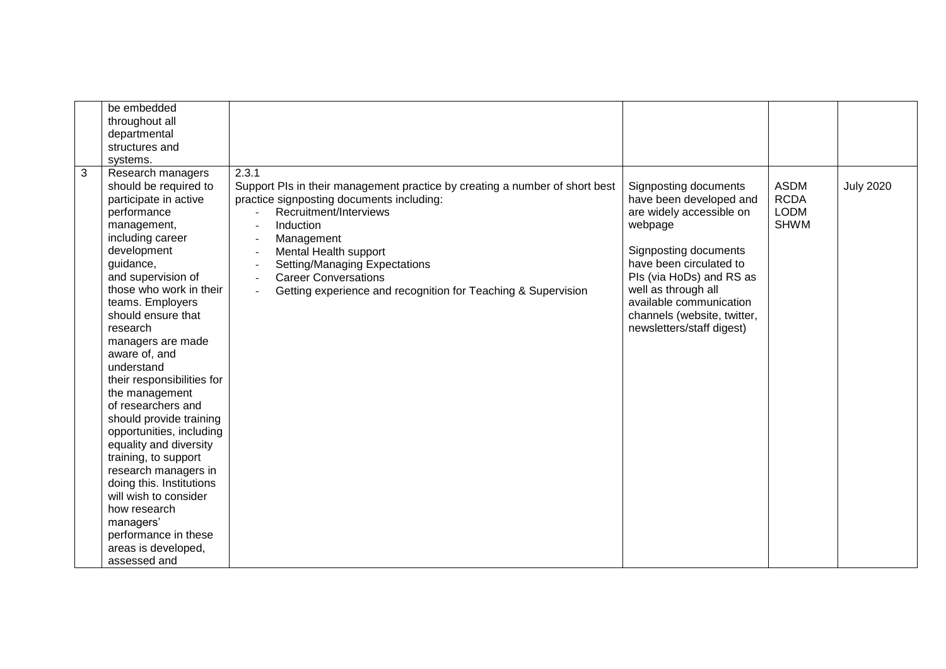| be embedded<br>throughout all<br>departmental<br>structures and<br>systems.                                                                                                                                                                                                                                                                                                                                                                                                                                                                                                                                                                                                            |                                                                                                                                                                                                                                                                                                                                                                                                                                             |                                                                                                                                                                                                                                                                                       |                                                          |                  |
|----------------------------------------------------------------------------------------------------------------------------------------------------------------------------------------------------------------------------------------------------------------------------------------------------------------------------------------------------------------------------------------------------------------------------------------------------------------------------------------------------------------------------------------------------------------------------------------------------------------------------------------------------------------------------------------|---------------------------------------------------------------------------------------------------------------------------------------------------------------------------------------------------------------------------------------------------------------------------------------------------------------------------------------------------------------------------------------------------------------------------------------------|---------------------------------------------------------------------------------------------------------------------------------------------------------------------------------------------------------------------------------------------------------------------------------------|----------------------------------------------------------|------------------|
| $\mathfrak{B}$<br>Research managers<br>should be required to<br>participate in active<br>performance<br>management,<br>including career<br>development<br>guidance,<br>and supervision of<br>those who work in their<br>teams. Employers<br>should ensure that<br>research<br>managers are made<br>aware of, and<br>understand<br>their responsibilities for<br>the management<br>of researchers and<br>should provide training<br>opportunities, including<br>equality and diversity<br>training, to support<br>research managers in<br>doing this. Institutions<br>will wish to consider<br>how research<br>managers'<br>performance in these<br>areas is developed,<br>assessed and | 2.3.1<br>Support PIs in their management practice by creating a number of short best<br>practice signposting documents including:<br>Recruitment/Interviews<br>Induction<br>Management<br>$\overline{\phantom{a}}$<br>Mental Health support<br>$\blacksquare$<br><b>Setting/Managing Expectations</b><br>$\overline{\phantom{a}}$<br><b>Career Conversations</b><br>$\sim$<br>Getting experience and recognition for Teaching & Supervision | Signposting documents<br>have been developed and<br>are widely accessible on<br>webpage<br>Signposting documents<br>have been circulated to<br>Pls (via HoDs) and RS as<br>well as through all<br>available communication<br>channels (website, twitter,<br>newsletters/staff digest) | <b>ASDM</b><br><b>RCDA</b><br><b>LODM</b><br><b>SHWM</b> | <b>July 2020</b> |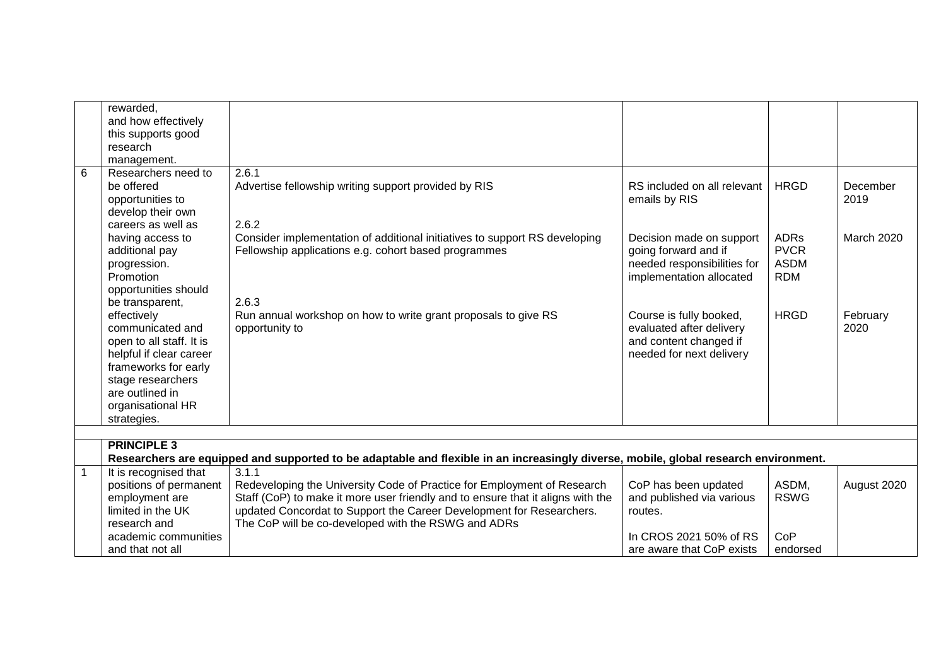|                | rewarded,                |                                                                                                                                      |                             |             |             |
|----------------|--------------------------|--------------------------------------------------------------------------------------------------------------------------------------|-----------------------------|-------------|-------------|
|                | and how effectively      |                                                                                                                                      |                             |             |             |
|                | this supports good       |                                                                                                                                      |                             |             |             |
|                | research                 |                                                                                                                                      |                             |             |             |
|                | management.              |                                                                                                                                      |                             |             |             |
| 6              | Researchers need to      | 2.6.1                                                                                                                                |                             |             |             |
|                | be offered               | Advertise fellowship writing support provided by RIS                                                                                 | RS included on all relevant | <b>HRGD</b> | December    |
|                | opportunities to         |                                                                                                                                      | emails by RIS               |             | 2019        |
|                | develop their own        |                                                                                                                                      |                             |             |             |
|                | careers as well as       | 2.6.2                                                                                                                                |                             |             |             |
|                | having access to         | Consider implementation of additional initiatives to support RS developing                                                           | Decision made on support    | <b>ADRs</b> | March 2020  |
|                | additional pay           | Fellowship applications e.g. cohort based programmes                                                                                 | going forward and if        | <b>PVCR</b> |             |
|                | progression.             |                                                                                                                                      | needed responsibilities for | <b>ASDM</b> |             |
|                | Promotion                |                                                                                                                                      | implementation allocated    | <b>RDM</b>  |             |
|                | opportunities should     |                                                                                                                                      |                             |             |             |
|                | be transparent,          | 2.6.3                                                                                                                                |                             |             |             |
|                | effectively              | Run annual workshop on how to write grant proposals to give RS                                                                       | Course is fully booked,     | <b>HRGD</b> | February    |
|                | communicated and         | opportunity to                                                                                                                       | evaluated after delivery    |             | 2020        |
|                | open to all staff. It is |                                                                                                                                      | and content changed if      |             |             |
|                | helpful if clear career  |                                                                                                                                      | needed for next delivery    |             |             |
|                | frameworks for early     |                                                                                                                                      |                             |             |             |
|                | stage researchers        |                                                                                                                                      |                             |             |             |
|                | are outlined in          |                                                                                                                                      |                             |             |             |
|                | organisational HR        |                                                                                                                                      |                             |             |             |
|                | strategies.              |                                                                                                                                      |                             |             |             |
|                |                          |                                                                                                                                      |                             |             |             |
|                | <b>PRINCIPLE 3</b>       |                                                                                                                                      |                             |             |             |
|                |                          | Researchers are equipped and supported to be adaptable and flexible in an increasingly diverse, mobile, global research environment. |                             |             |             |
| $\overline{1}$ | It is recognised that    | 3.1.1                                                                                                                                |                             |             |             |
|                | positions of permanent   | Redeveloping the University Code of Practice for Employment of Research                                                              | CoP has been updated        | ASDM,       | August 2020 |
|                | employment are           | Staff (CoP) to make it more user friendly and to ensure that it aligns with the                                                      | and published via various   | <b>RSWG</b> |             |
|                | limited in the UK        | updated Concordat to Support the Career Development for Researchers.                                                                 | routes.                     |             |             |
|                | research and             | The CoP will be co-developed with the RSWG and ADRs                                                                                  |                             |             |             |
|                | academic communities     |                                                                                                                                      | In CROS 2021 50% of RS      | CoP         |             |
|                | and that not all         |                                                                                                                                      | are aware that CoP exists   | endorsed    |             |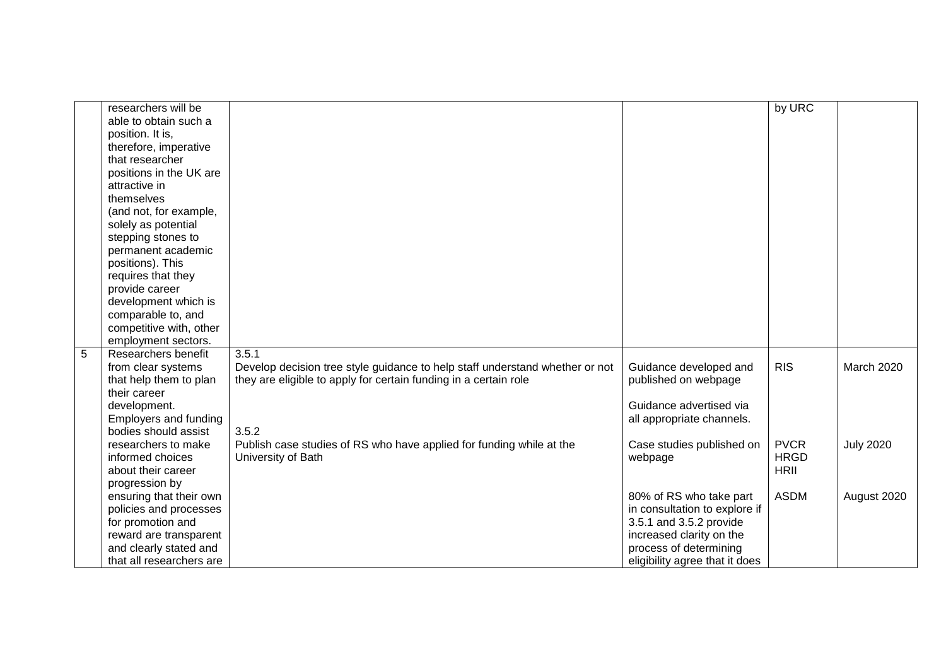|                | researchers will be          |                                                                              |                                | by URC      |                  |
|----------------|------------------------------|------------------------------------------------------------------------------|--------------------------------|-------------|------------------|
|                | able to obtain such a        |                                                                              |                                |             |                  |
|                | position. It is,             |                                                                              |                                |             |                  |
|                | therefore, imperative        |                                                                              |                                |             |                  |
|                | that researcher              |                                                                              |                                |             |                  |
|                | positions in the UK are      |                                                                              |                                |             |                  |
|                | attractive in                |                                                                              |                                |             |                  |
|                | themselves                   |                                                                              |                                |             |                  |
|                | (and not, for example,       |                                                                              |                                |             |                  |
|                | solely as potential          |                                                                              |                                |             |                  |
|                | stepping stones to           |                                                                              |                                |             |                  |
|                | permanent academic           |                                                                              |                                |             |                  |
|                | positions). This             |                                                                              |                                |             |                  |
|                | requires that they           |                                                                              |                                |             |                  |
|                | provide career               |                                                                              |                                |             |                  |
|                | development which is         |                                                                              |                                |             |                  |
|                | comparable to, and           |                                                                              |                                |             |                  |
|                | competitive with, other      |                                                                              |                                |             |                  |
|                | employment sectors.          |                                                                              |                                |             |                  |
| $\overline{5}$ | Researchers benefit          | 3.5.1                                                                        |                                |             |                  |
|                | from clear systems           | Develop decision tree style guidance to help staff understand whether or not | Guidance developed and         | <b>RIS</b>  | March 2020       |
|                | that help them to plan       | they are eligible to apply for certain funding in a certain role             | published on webpage           |             |                  |
|                | their career                 |                                                                              |                                |             |                  |
|                | development.                 |                                                                              | Guidance advertised via        |             |                  |
|                | <b>Employers and funding</b> |                                                                              | all appropriate channels.      |             |                  |
|                | bodies should assist         | 3.5.2                                                                        |                                |             |                  |
|                | researchers to make          | Publish case studies of RS who have applied for funding while at the         | Case studies published on      | <b>PVCR</b> | <b>July 2020</b> |
|                | informed choices             | University of Bath                                                           | webpage                        | <b>HRGD</b> |                  |
|                | about their career           |                                                                              |                                | <b>HRII</b> |                  |
|                | progression by               |                                                                              |                                |             |                  |
|                | ensuring that their own      |                                                                              | 80% of RS who take part        | <b>ASDM</b> | August 2020      |
|                | policies and processes       |                                                                              | in consultation to explore if  |             |                  |
|                | for promotion and            |                                                                              | 3.5.1 and 3.5.2 provide        |             |                  |
|                | reward are transparent       |                                                                              | increased clarity on the       |             |                  |
|                | and clearly stated and       |                                                                              | process of determining         |             |                  |
|                | that all researchers are     |                                                                              | eligibility agree that it does |             |                  |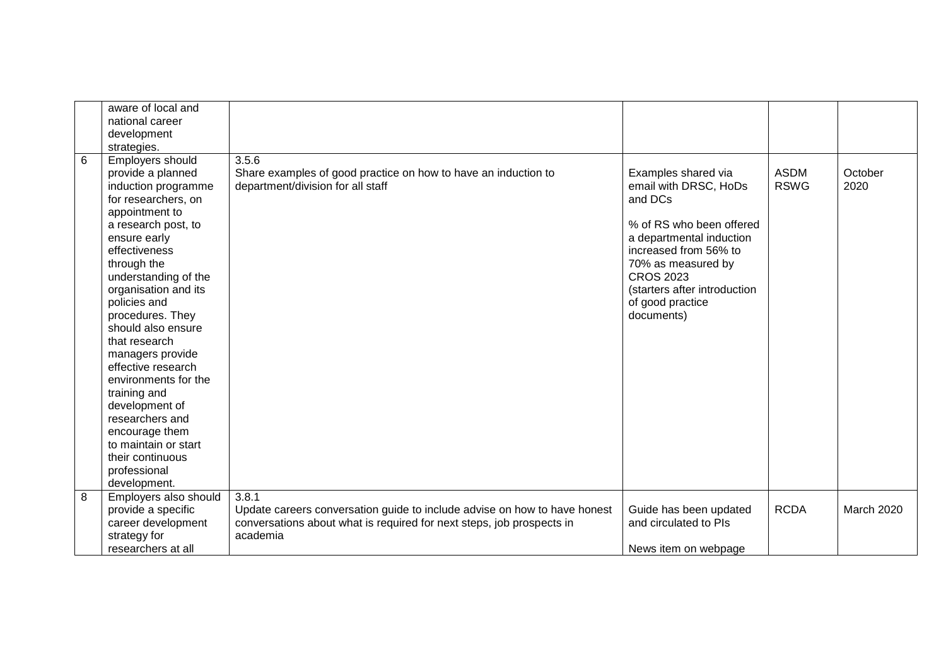|   | aware of local and<br>national career<br>development                                                                                                                                                                                                                                                                                                                                                                                                                                                         |                                                                                                                                                                |                                                                                                                                                                                                                                                      |                            |                   |
|---|--------------------------------------------------------------------------------------------------------------------------------------------------------------------------------------------------------------------------------------------------------------------------------------------------------------------------------------------------------------------------------------------------------------------------------------------------------------------------------------------------------------|----------------------------------------------------------------------------------------------------------------------------------------------------------------|------------------------------------------------------------------------------------------------------------------------------------------------------------------------------------------------------------------------------------------------------|----------------------------|-------------------|
|   | strategies.                                                                                                                                                                                                                                                                                                                                                                                                                                                                                                  |                                                                                                                                                                |                                                                                                                                                                                                                                                      |                            |                   |
| 6 | Employers should<br>provide a planned<br>induction programme<br>for researchers, on<br>appointment to<br>a research post, to<br>ensure early<br>effectiveness<br>through the<br>understanding of the<br>organisation and its<br>policies and<br>procedures. They<br>should also ensure<br>that research<br>managers provide<br>effective research<br>environments for the<br>training and<br>development of<br>researchers and<br>encourage them<br>to maintain or start<br>their continuous<br>professional | 3.5.6<br>Share examples of good practice on how to have an induction to<br>department/division for all staff                                                   | Examples shared via<br>email with DRSC, HoDs<br>and DCs<br>% of RS who been offered<br>a departmental induction<br>increased from 56% to<br>70% as measured by<br><b>CROS 2023</b><br>(starters after introduction<br>of good practice<br>documents) | <b>ASDM</b><br><b>RSWG</b> | October<br>2020   |
| 8 | development.<br>Employers also should                                                                                                                                                                                                                                                                                                                                                                                                                                                                        | 3.8.1                                                                                                                                                          |                                                                                                                                                                                                                                                      |                            |                   |
|   | provide a specific<br>career development<br>strategy for                                                                                                                                                                                                                                                                                                                                                                                                                                                     | Update careers conversation guide to include advise on how to have honest<br>conversations about what is required for next steps, job prospects in<br>academia | Guide has been updated<br>and circulated to PIs                                                                                                                                                                                                      | <b>RCDA</b>                | <b>March 2020</b> |
|   | researchers at all                                                                                                                                                                                                                                                                                                                                                                                                                                                                                           |                                                                                                                                                                | News item on webpage                                                                                                                                                                                                                                 |                            |                   |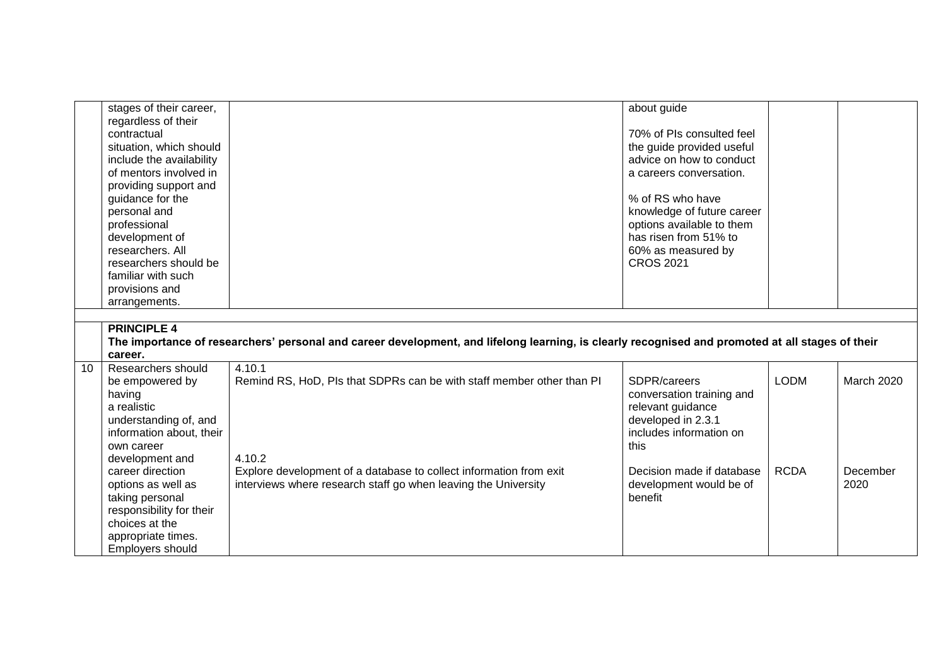|    | stages of their career,  |                                                                                                                                                  | about guide                |             |                   |
|----|--------------------------|--------------------------------------------------------------------------------------------------------------------------------------------------|----------------------------|-------------|-------------------|
|    | regardless of their      |                                                                                                                                                  |                            |             |                   |
|    | contractual              |                                                                                                                                                  | 70% of PIs consulted feel  |             |                   |
|    | situation, which should  |                                                                                                                                                  | the guide provided useful  |             |                   |
|    | include the availability |                                                                                                                                                  | advice on how to conduct   |             |                   |
|    | of mentors involved in   |                                                                                                                                                  | a careers conversation.    |             |                   |
|    | providing support and    |                                                                                                                                                  |                            |             |                   |
|    | guidance for the         |                                                                                                                                                  | % of RS who have           |             |                   |
|    | personal and             |                                                                                                                                                  | knowledge of future career |             |                   |
|    | professional             |                                                                                                                                                  | options available to them  |             |                   |
|    | development of           |                                                                                                                                                  | has risen from 51% to      |             |                   |
|    | researchers. All         |                                                                                                                                                  | 60% as measured by         |             |                   |
|    | researchers should be    |                                                                                                                                                  | <b>CROS 2021</b>           |             |                   |
|    | familiar with such       |                                                                                                                                                  |                            |             |                   |
|    | provisions and           |                                                                                                                                                  |                            |             |                   |
|    | arrangements.            |                                                                                                                                                  |                            |             |                   |
|    |                          |                                                                                                                                                  |                            |             |                   |
|    | <b>PRINCIPLE 4</b>       |                                                                                                                                                  |                            |             |                   |
|    |                          | The importance of researchers' personal and career development, and lifelong learning, is clearly recognised and promoted at all stages of their |                            |             |                   |
|    | career.                  |                                                                                                                                                  |                            |             |                   |
| 10 | Researchers should       | 4.10.1                                                                                                                                           |                            |             |                   |
|    | be empowered by          | Remind RS, HoD, PIs that SDPRs can be with staff member other than PI                                                                            | SDPR/careers               | <b>LODM</b> | <b>March 2020</b> |
|    | having                   |                                                                                                                                                  | conversation training and  |             |                   |
|    | a realistic              |                                                                                                                                                  | relevant guidance          |             |                   |
|    | understanding of, and    |                                                                                                                                                  | developed in 2.3.1         |             |                   |
|    | information about, their |                                                                                                                                                  | includes information on    |             |                   |
|    | own career               |                                                                                                                                                  | this                       |             |                   |
|    | development and          | 4.10.2                                                                                                                                           |                            |             |                   |
|    | career direction         | Explore development of a database to collect information from exit                                                                               | Decision made if database  | <b>RCDA</b> | December          |
|    | options as well as       | interviews where research staff go when leaving the University                                                                                   | development would be of    |             | 2020              |
|    | taking personal          |                                                                                                                                                  | benefit                    |             |                   |
|    | responsibility for their |                                                                                                                                                  |                            |             |                   |
|    | choices at the           |                                                                                                                                                  |                            |             |                   |
|    | appropriate times.       |                                                                                                                                                  |                            |             |                   |
|    | <b>Employers should</b>  |                                                                                                                                                  |                            |             |                   |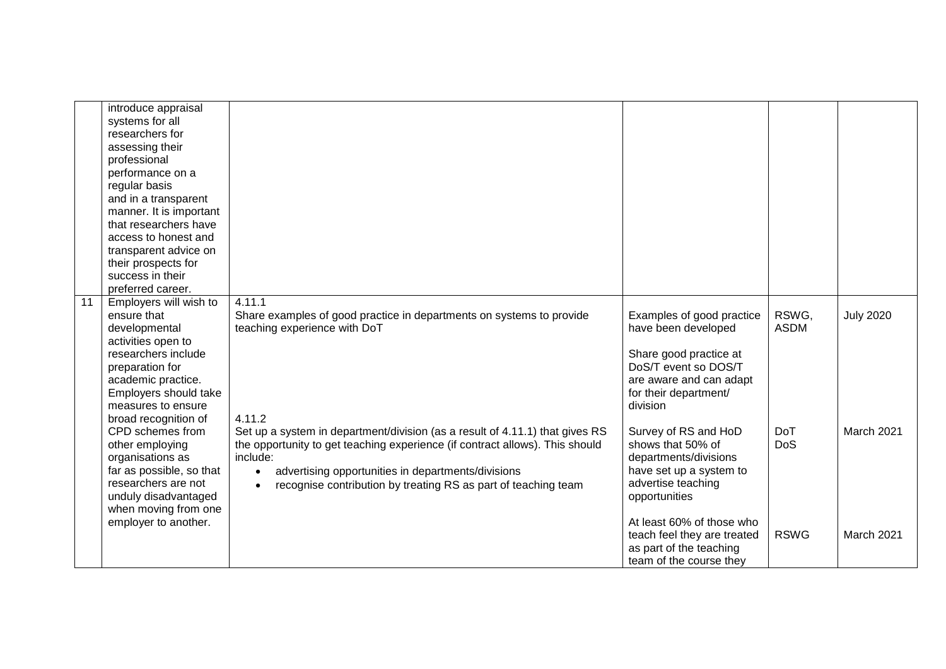|    | introduce appraisal      |                                                                              |                             |             |                  |
|----|--------------------------|------------------------------------------------------------------------------|-----------------------------|-------------|------------------|
|    | systems for all          |                                                                              |                             |             |                  |
|    | researchers for          |                                                                              |                             |             |                  |
|    | assessing their          |                                                                              |                             |             |                  |
|    | professional             |                                                                              |                             |             |                  |
|    | performance on a         |                                                                              |                             |             |                  |
|    | regular basis            |                                                                              |                             |             |                  |
|    | and in a transparent     |                                                                              |                             |             |                  |
|    | manner. It is important  |                                                                              |                             |             |                  |
|    | that researchers have    |                                                                              |                             |             |                  |
|    | access to honest and     |                                                                              |                             |             |                  |
|    | transparent advice on    |                                                                              |                             |             |                  |
|    | their prospects for      |                                                                              |                             |             |                  |
|    | success in their         |                                                                              |                             |             |                  |
|    | preferred career.        |                                                                              |                             |             |                  |
| 11 | Employers will wish to   | 4.11.1                                                                       |                             |             |                  |
|    | ensure that              | Share examples of good practice in departments on systems to provide         | Examples of good practice   | RSWG,       | <b>July 2020</b> |
|    | developmental            | teaching experience with DoT                                                 | have been developed         | <b>ASDM</b> |                  |
|    | activities open to       |                                                                              |                             |             |                  |
|    | researchers include      |                                                                              | Share good practice at      |             |                  |
|    | preparation for          |                                                                              | DoS/T event so DOS/T        |             |                  |
|    | academic practice.       |                                                                              | are aware and can adapt     |             |                  |
|    | Employers should take    |                                                                              | for their department/       |             |                  |
|    | measures to ensure       |                                                                              | division                    |             |                  |
|    | broad recognition of     | 4.11.2                                                                       |                             |             |                  |
|    | CPD schemes from         | Set up a system in department/division (as a result of 4.11.1) that gives RS | Survey of RS and HoD        | <b>DoT</b>  | March 2021       |
|    | other employing          | the opportunity to get teaching experience (if contract allows). This should | shows that 50% of           | DoS         |                  |
|    | organisations as         | include:                                                                     | departments/divisions       |             |                  |
|    | far as possible, so that | advertising opportunities in departments/divisions<br>$\bullet$              | have set up a system to     |             |                  |
|    | researchers are not      | recognise contribution by treating RS as part of teaching team               | advertise teaching          |             |                  |
|    | unduly disadvantaged     |                                                                              | opportunities               |             |                  |
|    | when moving from one     |                                                                              |                             |             |                  |
|    | employer to another.     |                                                                              | At least 60% of those who   |             |                  |
|    |                          |                                                                              | teach feel they are treated | <b>RSWG</b> | March 2021       |
|    |                          |                                                                              | as part of the teaching     |             |                  |
|    |                          |                                                                              | team of the course they     |             |                  |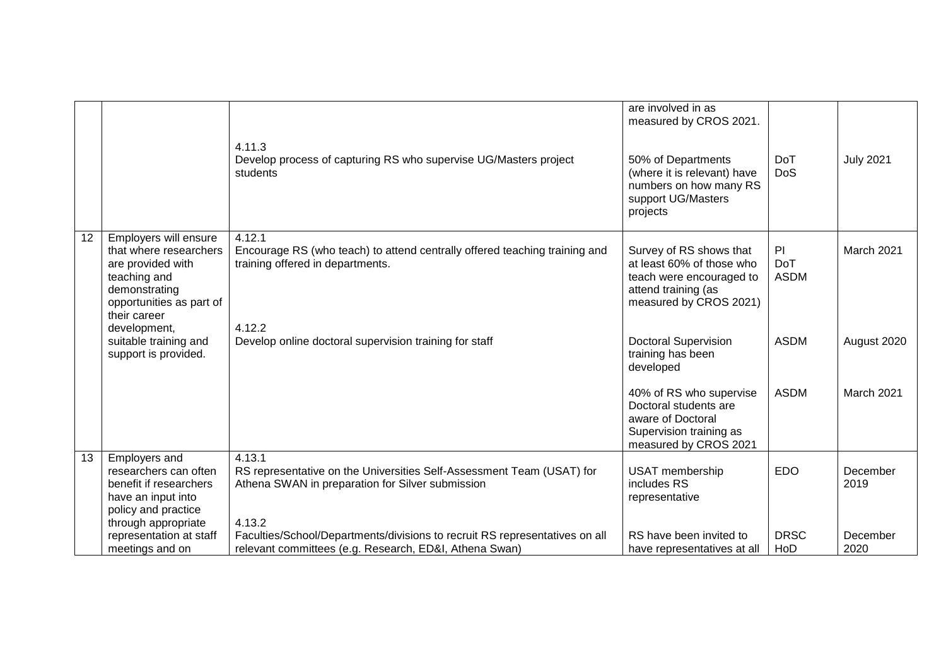|                 |                                                                                                                                                   | 4.11.3<br>Develop process of capturing RS who supervise UG/Masters project<br>students                                                        | are involved in as<br>measured by CROS 2021.<br>50% of Departments<br>(where it is relevant) have<br>numbers on how many RS<br>support UG/Masters<br>projects | <b>DoT</b><br><b>DoS</b>       | <b>July 2021</b> |
|-----------------|---------------------------------------------------------------------------------------------------------------------------------------------------|-----------------------------------------------------------------------------------------------------------------------------------------------|---------------------------------------------------------------------------------------------------------------------------------------------------------------|--------------------------------|------------------|
| $\overline{12}$ | Employers will ensure<br>that where researchers<br>are provided with<br>teaching and<br>demonstrating<br>opportunities as part of<br>their career | 4.12.1<br>Encourage RS (who teach) to attend centrally offered teaching training and<br>training offered in departments.                      | Survey of RS shows that<br>at least 60% of those who<br>teach were encouraged to<br>attend training (as<br>measured by CROS 2021)                             | P<br><b>DoT</b><br><b>ASDM</b> | March 2021       |
|                 | development,<br>suitable training and<br>support is provided.                                                                                     | 4.12.2<br>Develop online doctoral supervision training for staff                                                                              | <b>Doctoral Supervision</b><br>training has been<br>developed                                                                                                 | <b>ASDM</b>                    | August 2020      |
|                 |                                                                                                                                                   |                                                                                                                                               | 40% of RS who supervise<br>Doctoral students are<br>aware of Doctoral<br>Supervision training as<br>measured by CROS 2021                                     | <b>ASDM</b>                    | March 2021       |
| 13              | <b>Employers and</b><br>researchers can often<br>benefit if researchers<br>have an input into<br>policy and practice<br>through appropriate       | 4.13.1<br>RS representative on the Universities Self-Assessment Team (USAT) for<br>Athena SWAN in preparation for Silver submission<br>4.13.2 | <b>USAT</b> membership<br>includes RS<br>representative                                                                                                       | <b>EDO</b>                     | December<br>2019 |
|                 | representation at staff<br>meetings and on                                                                                                        | Faculties/School/Departments/divisions to recruit RS representatives on all<br>relevant committees (e.g. Research, ED&I, Athena Swan)         | RS have been invited to<br>have representatives at all                                                                                                        | <b>DRSC</b><br>HoD             | December<br>2020 |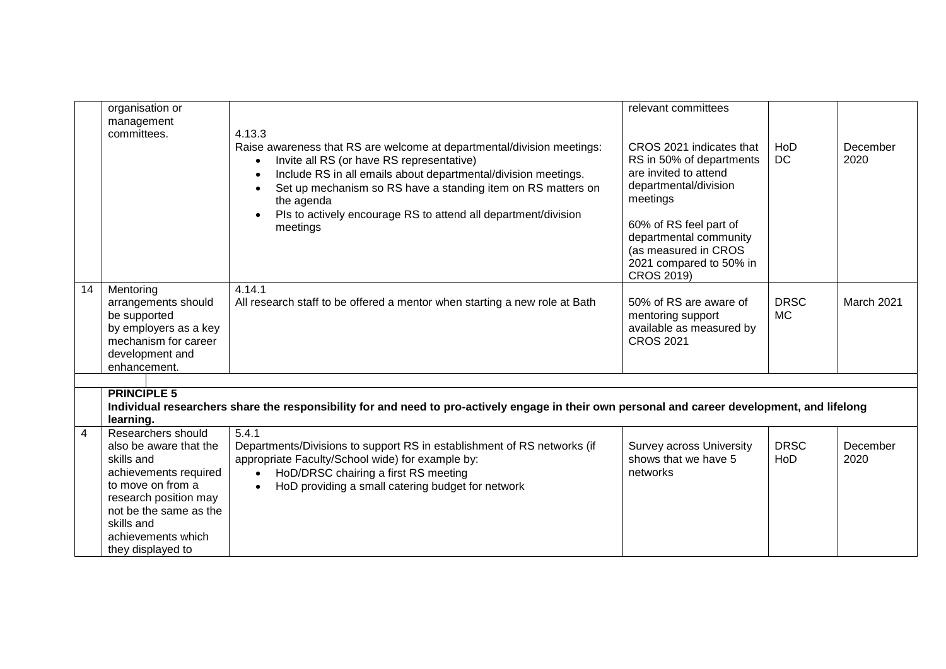|                | organisation or        |                                                                                                                                                                                                                                                                                              | relevant committees                                                                                    |                  |                  |
|----------------|------------------------|----------------------------------------------------------------------------------------------------------------------------------------------------------------------------------------------------------------------------------------------------------------------------------------------|--------------------------------------------------------------------------------------------------------|------------------|------------------|
|                | management             |                                                                                                                                                                                                                                                                                              |                                                                                                        |                  |                  |
|                | committees.            | 4.13.3                                                                                                                                                                                                                                                                                       |                                                                                                        |                  |                  |
|                |                        | Raise awareness that RS are welcome at departmental/division meetings:<br>Invite all RS (or have RS representative)<br>$\bullet$<br>Include RS in all emails about departmental/division meetings.<br>$\bullet$<br>Set up mechanism so RS have a standing item on RS matters on<br>$\bullet$ | CROS 2021 indicates that<br>RS in 50% of departments<br>are invited to attend<br>departmental/division | HoD<br><b>DC</b> | December<br>2020 |
|                |                        | the agenda                                                                                                                                                                                                                                                                                   | meetings                                                                                               |                  |                  |
|                |                        | Pls to actively encourage RS to attend all department/division<br>meetings                                                                                                                                                                                                                   | 60% of RS feel part of<br>departmental community<br>(as measured in CROS                               |                  |                  |
|                |                        |                                                                                                                                                                                                                                                                                              | 2021 compared to 50% in<br>CROS 2019)                                                                  |                  |                  |
| 14             | Mentoring              | 4.14.1                                                                                                                                                                                                                                                                                       |                                                                                                        |                  |                  |
|                | arrangements should    | All research staff to be offered a mentor when starting a new role at Bath                                                                                                                                                                                                                   | 50% of RS are aware of                                                                                 | <b>DRSC</b>      | March 2021       |
|                | be supported           |                                                                                                                                                                                                                                                                                              | mentoring support                                                                                      | <b>MC</b>        |                  |
|                | by employers as a key  |                                                                                                                                                                                                                                                                                              | available as measured by                                                                               |                  |                  |
|                | mechanism for career   |                                                                                                                                                                                                                                                                                              | <b>CROS 2021</b>                                                                                       |                  |                  |
|                | development and        |                                                                                                                                                                                                                                                                                              |                                                                                                        |                  |                  |
|                | enhancement.           |                                                                                                                                                                                                                                                                                              |                                                                                                        |                  |                  |
|                |                        |                                                                                                                                                                                                                                                                                              |                                                                                                        |                  |                  |
|                | <b>PRINCIPLE 5</b>     |                                                                                                                                                                                                                                                                                              |                                                                                                        |                  |                  |
|                |                        | Individual researchers share the responsibility for and need to pro-actively engage in their own personal and career development, and lifelong                                                                                                                                               |                                                                                                        |                  |                  |
|                | learning.              |                                                                                                                                                                                                                                                                                              |                                                                                                        |                  |                  |
| $\overline{4}$ | Researchers should     | 5.4.1                                                                                                                                                                                                                                                                                        |                                                                                                        |                  |                  |
|                | also be aware that the | Departments/Divisions to support RS in establishment of RS networks (if                                                                                                                                                                                                                      | <b>Survey across University</b>                                                                        | <b>DRSC</b>      | December         |
|                | skills and             | appropriate Faculty/School wide) for example by:                                                                                                                                                                                                                                             | shows that we have 5                                                                                   | HoD              | 2020             |
|                | achievements required  | HoD/DRSC chairing a first RS meeting<br>$\bullet$                                                                                                                                                                                                                                            | networks                                                                                               |                  |                  |
|                | to move on from a      | HoD providing a small catering budget for network<br>$\bullet$                                                                                                                                                                                                                               |                                                                                                        |                  |                  |
|                | research position may  |                                                                                                                                                                                                                                                                                              |                                                                                                        |                  |                  |
|                | not be the same as the |                                                                                                                                                                                                                                                                                              |                                                                                                        |                  |                  |
|                | skills and             |                                                                                                                                                                                                                                                                                              |                                                                                                        |                  |                  |
|                | achievements which     |                                                                                                                                                                                                                                                                                              |                                                                                                        |                  |                  |
|                | they displayed to      |                                                                                                                                                                                                                                                                                              |                                                                                                        |                  |                  |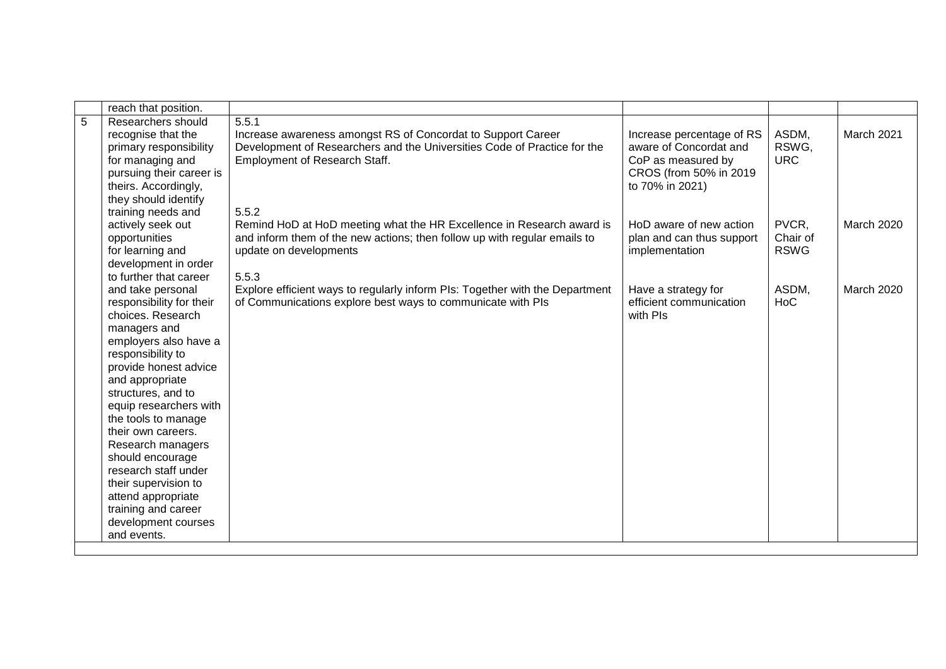|   | reach that position.                          |                                                                              |                           |             |                   |
|---|-----------------------------------------------|------------------------------------------------------------------------------|---------------------------|-------------|-------------------|
| 5 | Researchers should                            | 5.5.1                                                                        |                           |             |                   |
|   | recognise that the                            | Increase awareness amongst RS of Concordat to Support Career                 | Increase percentage of RS | ASDM,       | March 2021        |
|   | primary responsibility                        | Development of Researchers and the Universities Code of Practice for the     | aware of Concordat and    | RSWG,       |                   |
|   | for managing and                              | <b>Employment of Research Staff.</b>                                         | CoP as measured by        | <b>URC</b>  |                   |
|   | pursuing their career is                      |                                                                              | CROS (from 50% in 2019    |             |                   |
|   | theirs. Accordingly,                          |                                                                              | to 70% in 2021)           |             |                   |
|   | they should identify                          |                                                                              |                           |             |                   |
|   | training needs and                            | 5.5.2                                                                        |                           |             |                   |
|   | actively seek out                             | Remind HoD at HoD meeting what the HR Excellence in Research award is        | HoD aware of new action   | PVCR,       | <b>March 2020</b> |
|   | opportunities                                 | and inform them of the new actions; then follow up with regular emails to    | plan and can thus support | Chair of    |                   |
|   | for learning and                              | update on developments                                                       | implementation            | <b>RSWG</b> |                   |
|   | development in order                          |                                                                              |                           |             |                   |
|   | to further that career                        | 5.5.3                                                                        |                           |             |                   |
|   | and take personal                             | Explore efficient ways to regularly inform PIs: Together with the Department | Have a strategy for       | ASDM,       | <b>March 2020</b> |
|   | responsibility for their                      | of Communications explore best ways to communicate with PIs                  | efficient communication   | <b>HoC</b>  |                   |
|   | choices. Research                             |                                                                              | with PIs                  |             |                   |
|   | managers and                                  |                                                                              |                           |             |                   |
|   | employers also have a                         |                                                                              |                           |             |                   |
|   | responsibility to                             |                                                                              |                           |             |                   |
|   | provide honest advice                         |                                                                              |                           |             |                   |
|   | and appropriate                               |                                                                              |                           |             |                   |
|   | structures, and to                            |                                                                              |                           |             |                   |
|   | equip researchers with<br>the tools to manage |                                                                              |                           |             |                   |
|   | their own careers.                            |                                                                              |                           |             |                   |
|   | Research managers                             |                                                                              |                           |             |                   |
|   | should encourage                              |                                                                              |                           |             |                   |
|   | research staff under                          |                                                                              |                           |             |                   |
|   | their supervision to                          |                                                                              |                           |             |                   |
|   | attend appropriate                            |                                                                              |                           |             |                   |
|   | training and career                           |                                                                              |                           |             |                   |
|   | development courses                           |                                                                              |                           |             |                   |
|   | and events.                                   |                                                                              |                           |             |                   |
|   |                                               |                                                                              |                           |             |                   |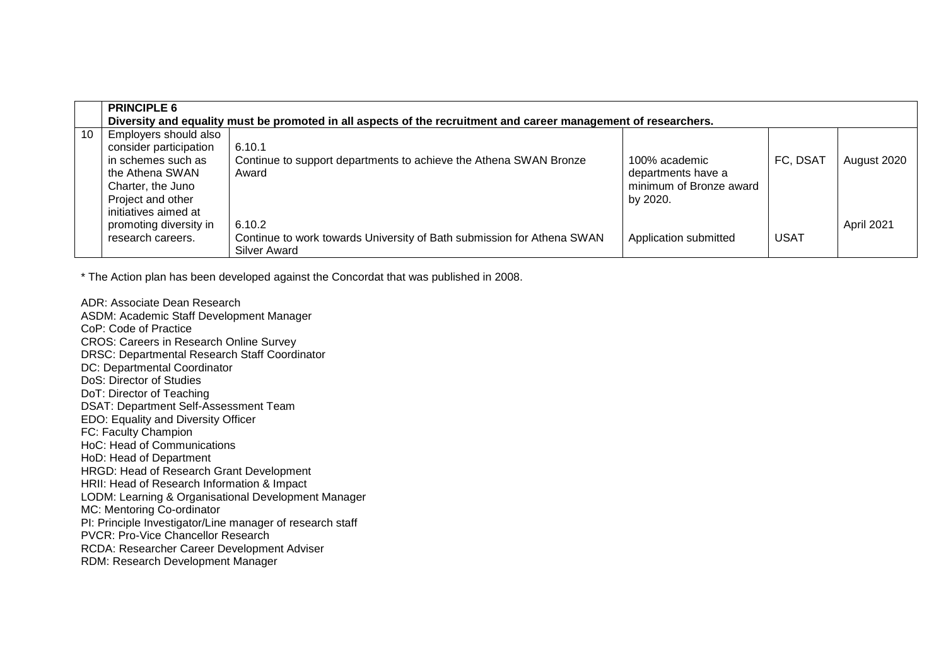|    | <b>PRINCIPLE 6</b>                                                                                                                                         | Diversity and equality must be promoted in all aspects of the recruitment and career management of researchers. |                                                                            |             |             |
|----|------------------------------------------------------------------------------------------------------------------------------------------------------------|-----------------------------------------------------------------------------------------------------------------|----------------------------------------------------------------------------|-------------|-------------|
| 10 | Employers should also<br>consider participation<br>in schemes such as<br>the Athena SWAN<br>Charter, the Juno<br>Project and other<br>initiatives aimed at | 6.10.1<br>Continue to support departments to achieve the Athena SWAN Bronze<br>Award                            | 100% academic<br>departments have a<br>minimum of Bronze award<br>by 2020. | FC, DSAT    | August 2020 |
|    | promoting diversity in<br>research careers.                                                                                                                | 6.10.2<br>Continue to work towards University of Bath submission for Athena SWAN<br><b>Silver Award</b>         | Application submitted                                                      | <b>USAT</b> | April 2021  |

\* The Action plan has been developed against the Concordat that was published in 2008.

ADR: Associate Dean Research ASDM: Academic Staff Development Manager CoP: Code of Practice CROS: Careers in Research Online Survey DRSC: Departmental Research Staff Coordinator DC: Departmental Coordinator DoS: Director of Studies DoT: Director of Teaching DSAT: Department Self-Assessment Team EDO: Equality and Diversity Officer FC: Faculty Champion HoC: Head of Communications HoD: Head of Department HRGD: Head of Research Grant Development HRII: Head of Research Information & Impact LODM: Learning & Organisational Development Manager MC: Mentoring Co-ordinator PI: Principle Investigator/Line manager of research staff PVCR: Pro-Vice Chancellor Research RCDA: Researcher Career Development Adviser RDM: Research Development Manager